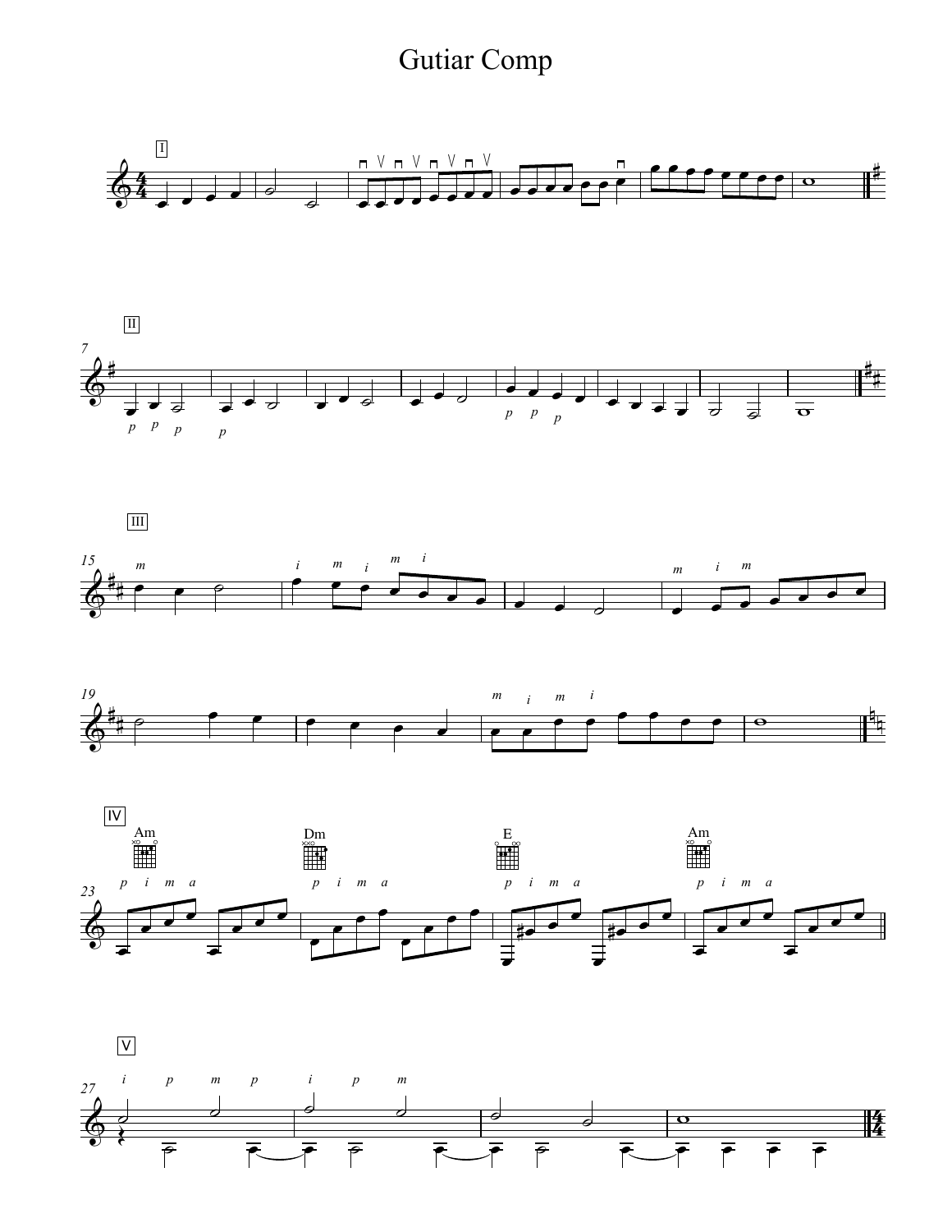## Gutiar Comp